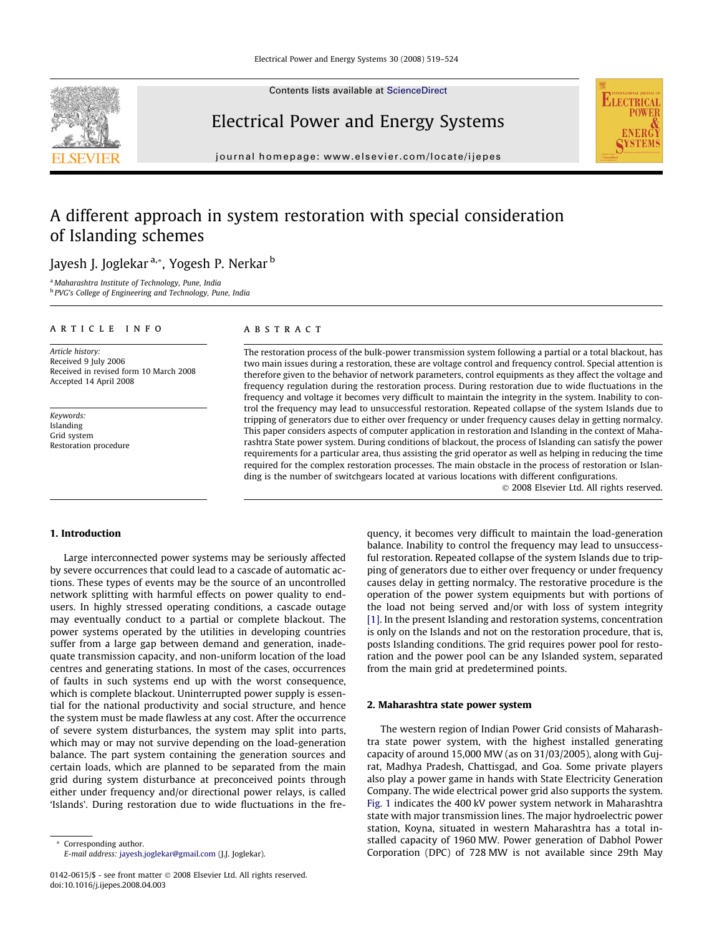

Contents lists available at [ScienceDirect](http://www.sciencedirect.com/science/journal/01420615)

### Electrical Power and Energy Systems

journal homepage: [www.elsevier.com/locate/ijepes](http://www.elsevier.com/locate/ijepes)

## A different approach in system restoration with special consideration of Islanding schemes

Jayesh J. Joglekar<sup>a,\*</sup>, Yogesh P. Nerkar<sup>b</sup>

<sup>a</sup> Maharashtra Institute of Technology, Pune, India <sup>b</sup> PVG's College of Engineering and Technology, Pune, India

#### article info

Article history: Received 9 July 2006 Received in revised form 10 March 2008 Accepted 14 April 2008

Keywords: Islanding Grid system Restoration procedure

#### **ABSTRACT**

The restoration process of the bulk-power transmission system following a partial or a total blackout, has two main issues during a restoration, these are voltage control and frequency control. Special attention is therefore given to the behavior of network parameters, control equipments as they affect the voltage and frequency regulation during the restoration process. During restoration due to wide fluctuations in the frequency and voltage it becomes very difficult to maintain the integrity in the system. Inability to control the frequency may lead to unsuccessful restoration. Repeated collapse of the system Islands due to tripping of generators due to either over frequency or under frequency causes delay in getting normalcy. This paper considers aspects of computer application in restoration and Islanding in the context of Maharashtra State power system. During conditions of blackout, the process of Islanding can satisfy the power requirements for a particular area, thus assisting the grid operator as well as helping in reducing the time required for the complex restoration processes. The main obstacle in the process of restoration or Islanding is the number of switchgears located at various locations with different configurations.

- 2008 Elsevier Ltd. All rights reserved.

**ELECTRICAL** 

**ENER STEM** 

#### 1. Introduction

Large interconnected power systems may be seriously affected by severe occurrences that could lead to a cascade of automatic actions. These types of events may be the source of an uncontrolled network splitting with harmful effects on power quality to endusers. In highly stressed operating conditions, a cascade outage may eventually conduct to a partial or complete blackout. The power systems operated by the utilities in developing countries suffer from a large gap between demand and generation, inadequate transmission capacity, and non-uniform location of the load centres and generating stations. In most of the cases, occurrences of faults in such systems end up with the worst consequence, which is complete blackout. Uninterrupted power supply is essential for the national productivity and social structure, and hence the system must be made flawless at any cost. After the occurrence of severe system disturbances, the system may split into parts, which may or may not survive depending on the load-generation balance. The part system containing the generation sources and certain loads, which are planned to be separated from the main grid during system disturbance at preconceived points through either under frequency and/or directional power relays, is called 'Islands'. During restoration due to wide fluctuations in the fre-

\* Corresponding author. E-mail address: [jayesh.joglekar@gmail.com](mailto:jayesh.joglekar@gmail.com) (J.J. Joglekar). quency, it becomes very difficult to maintain the load-generation balance. Inability to control the frequency may lead to unsuccessful restoration. Repeated collapse of the system Islands due to tripping of generators due to either over frequency or under frequency causes delay in getting normalcy. The restorative procedure is the operation of the power system equipments but with portions of the load not being served and/or with loss of system integrity [\[1\]](#page--1-0). In the present Islanding and restoration systems, concentration is only on the Islands and not on the restoration procedure, that is, posts Islanding conditions. The grid requires power pool for restoration and the power pool can be any Islanded system, separated from the main grid at predetermined points.

#### 2. Maharashtra state power system

The western region of Indian Power Grid consists of Maharashtra state power system, with the highest installed generating capacity of around 15,000 MW (as on 31/03/2005), along with Gujrat, Madhya Pradesh, Chattisgad, and Goa. Some private players also play a power game in hands with State Electricity Generation Company. The wide electrical power grid also supports the system. [Fig. 1](#page-1-0) indicates the 400 kV power system network in Maharashtra state with major transmission lines. The major hydroelectric power station, Koyna, situated in western Maharashtra has a total installed capacity of 1960 MW. Power generation of Dabhol Power Corporation (DPC) of 728 MW is not available since 29th May

<sup>0142-0615/\$ -</sup> see front matter © 2008 Elsevier Ltd. All rights reserved. doi:10.1016/j.ijepes.2008.04.003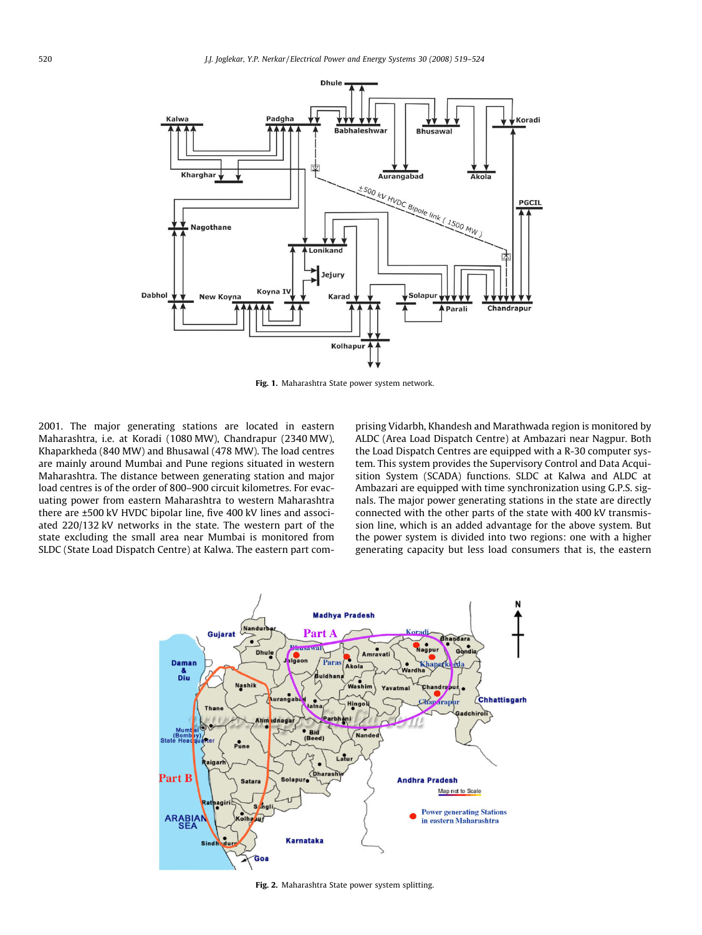<span id="page-1-0"></span>

Fig. 1. Maharashtra State power system network.

2001. The major generating stations are located in eastern Maharashtra, i.e. at Koradi (1080 MW), Chandrapur (2340 MW), Khaparkheda (840 MW) and Bhusawal (478 MW). The load centres are mainly around Mumbai and Pune regions situated in western Maharashtra. The distance between generating station and major load centres is of the order of 800–900 circuit kilometres. For evacuating power from eastern Maharashtra to western Maharashtra there are ±500 kV HVDC bipolar line, five 400 kV lines and associated 220/132 kV networks in the state. The western part of the state excluding the small area near Mumbai is monitored from SLDC (State Load Dispatch Centre) at Kalwa. The eastern part comprising Vidarbh, Khandesh and Marathwada region is monitored by ALDC (Area Load Dispatch Centre) at Ambazari near Nagpur. Both the Load Dispatch Centres are equipped with a R-30 computer system. This system provides the Supervisory Control and Data Acquisition System (SCADA) functions. SLDC at Kalwa and ALDC at Ambazari are equipped with time synchronization using G.P.S. signals. The major power generating stations in the state are directly connected with the other parts of the state with 400 kV transmission line, which is an added advantage for the above system. But the power system is divided into two regions: one with a higher generating capacity but less load consumers that is, the eastern



Fig. 2. Maharashtra State power system splitting.